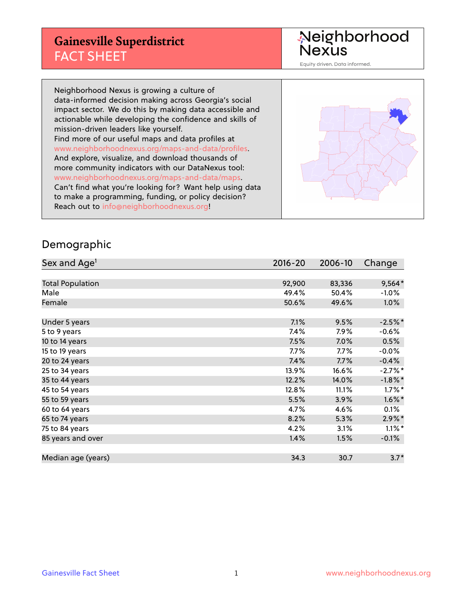### **Gainesville Superdistrict** FACT SHEET

Neighborhood<br>Nexus

Equity driven. Data informed.

Neighborhood Nexus is growing a culture of data-informed decision making across Georgia's social impact sector. We do this by making data accessible and actionable while developing the confidence and skills of mission-driven leaders like yourself. Find more of our useful maps and data profiles at www.neighborhoodnexus.org/maps-and-data/profiles. And explore, visualize, and download thousands of more community indicators with our DataNexus tool: www.neighborhoodnexus.org/maps-and-data/maps. Can't find what you're looking for? Want help using data to make a programming, funding, or policy decision? Reach out to [info@neighborhoodnexus.org!](mailto:info@neighborhoodnexus.org)



#### Demographic

| Sex and Age <sup>1</sup> | $2016 - 20$ | 2006-10 | Change     |
|--------------------------|-------------|---------|------------|
|                          |             |         |            |
| <b>Total Population</b>  | 92,900      | 83,336  | $9,564*$   |
| Male                     | 49.4%       | 50.4%   | $-1.0\%$   |
| Female                   | 50.6%       | 49.6%   | 1.0%       |
|                          |             |         |            |
| Under 5 years            | 7.1%        | 9.5%    | $-2.5%$ *  |
| 5 to 9 years             | 7.4%        | 7.9%    | $-0.6%$    |
| 10 to 14 years           | 7.5%        | 7.0%    | 0.5%       |
| 15 to 19 years           | 7.7%        | $7.7\%$ | $-0.0%$    |
| 20 to 24 years           | 7.4%        | 7.7%    | $-0.4%$    |
| 25 to 34 years           | 13.9%       | 16.6%   | $-2.7%$ *  |
| 35 to 44 years           | 12.2%       | 14.0%   | $-1.8\%$ * |
| 45 to 54 years           | 12.8%       | 11.1%   | $1.7\%$ *  |
| 55 to 59 years           | 5.5%        | 3.9%    | $1.6\%$ *  |
| 60 to 64 years           | 4.7%        | 4.6%    | 0.1%       |
| 65 to 74 years           | 8.2%        | 5.3%    | $2.9\%$ *  |
| 75 to 84 years           | 4.2%        | 3.1%    | $1.1\%$ *  |
| 85 years and over        | 1.4%        | 1.5%    | $-0.1\%$   |
|                          |             |         |            |
| Median age (years)       | 34.3        | 30.7    | $3.7*$     |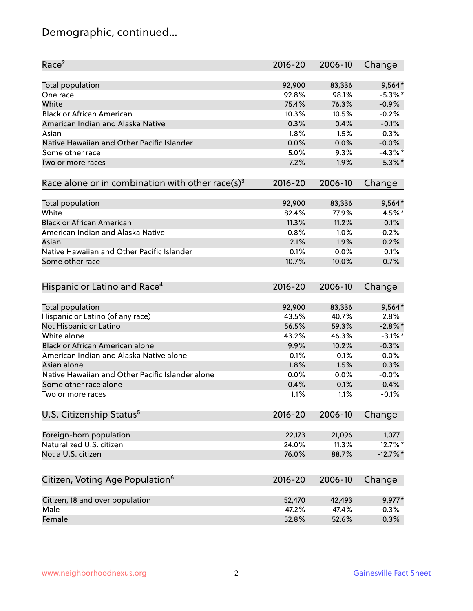# Demographic, continued...

| Race <sup>2</sup>                                            | $2016 - 20$ | 2006-10 | Change      |
|--------------------------------------------------------------|-------------|---------|-------------|
| <b>Total population</b>                                      | 92,900      | 83,336  | $9,564*$    |
| One race                                                     | 92.8%       | 98.1%   | $-5.3\%$ *  |
| White                                                        | 75.4%       | 76.3%   | $-0.9%$     |
| <b>Black or African American</b>                             | 10.3%       | 10.5%   | $-0.2%$     |
| American Indian and Alaska Native                            | 0.3%        | 0.4%    | $-0.1%$     |
| Asian                                                        | 1.8%        | 1.5%    | 0.3%        |
| Native Hawaiian and Other Pacific Islander                   | 0.0%        | 0.0%    | $-0.0%$     |
| Some other race                                              | 5.0%        | 9.3%    | $-4.3\%$ *  |
| Two or more races                                            | 7.2%        | 1.9%    | $5.3\%$ *   |
|                                                              |             |         |             |
| Race alone or in combination with other race(s) <sup>3</sup> | $2016 - 20$ | 2006-10 | Change      |
| Total population                                             | 92,900      | 83,336  | $9,564*$    |
| White                                                        | 82.4%       | 77.9%   | 4.5%*       |
| <b>Black or African American</b>                             | 11.3%       | 11.2%   | 0.1%        |
|                                                              |             |         | $-0.2%$     |
| American Indian and Alaska Native                            | 0.8%        | 1.0%    |             |
| Asian                                                        | 2.1%        | 1.9%    | 0.2%        |
| Native Hawaiian and Other Pacific Islander                   | 0.1%        | 0.0%    | 0.1%        |
| Some other race                                              | 10.7%       | 10.0%   | 0.7%        |
| Hispanic or Latino and Race <sup>4</sup>                     | $2016 - 20$ | 2006-10 | Change      |
| <b>Total population</b>                                      | 92,900      | 83,336  | $9,564*$    |
| Hispanic or Latino (of any race)                             | 43.5%       | 40.7%   | 2.8%        |
| Not Hispanic or Latino                                       | 56.5%       | 59.3%   | $-2.8\%$ *  |
| White alone                                                  | 43.2%       | 46.3%   | $-3.1\%$ *  |
| Black or African American alone                              | 9.9%        | 10.2%   | $-0.3%$     |
| American Indian and Alaska Native alone                      | 0.1%        | 0.1%    | $-0.0%$     |
| Asian alone                                                  | 1.8%        | 1.5%    | 0.3%        |
| Native Hawaiian and Other Pacific Islander alone             | 0.0%        | 0.0%    | $-0.0%$     |
| Some other race alone                                        | 0.4%        | 0.1%    | 0.4%        |
| Two or more races                                            | 1.1%        | 1.1%    | $-0.1%$     |
|                                                              |             |         |             |
| U.S. Citizenship Status <sup>5</sup>                         | $2016 - 20$ | 2006-10 | Change      |
| Foreign-born population                                      | 22,173      | 21,096  | 1,077       |
| Naturalized U.S. citizen                                     | 24.0%       | 11.3%   | 12.7%*      |
| Not a U.S. citizen                                           | 76.0%       | 88.7%   | $-12.7\%$ * |
|                                                              |             |         |             |
| Citizen, Voting Age Population <sup>6</sup>                  | $2016 - 20$ | 2006-10 | Change      |
| Citizen, 18 and over population                              | 52,470      | 42,493  | 9,977*      |
| Male                                                         | 47.2%       | 47.4%   | $-0.3%$     |
| Female                                                       | 52.8%       | 52.6%   | 0.3%        |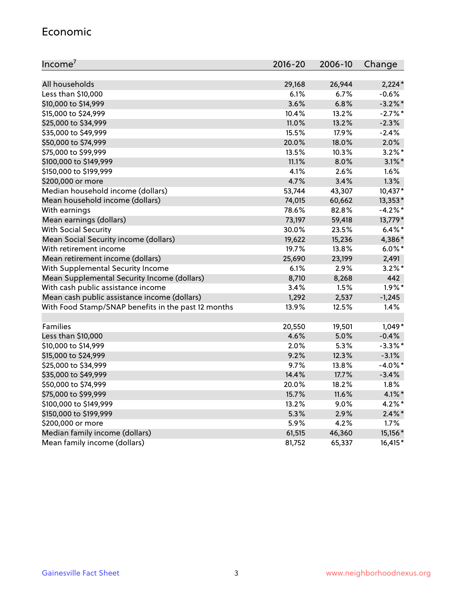#### Economic

| Income <sup>7</sup>                                 | $2016 - 20$ | 2006-10 | Change     |
|-----------------------------------------------------|-------------|---------|------------|
|                                                     |             |         |            |
| All households                                      | 29,168      | 26,944  | $2,224*$   |
| Less than \$10,000                                  | 6.1%        | 6.7%    | $-0.6%$    |
| \$10,000 to \$14,999                                | 3.6%        | 6.8%    | $-3.2\%$ * |
| \$15,000 to \$24,999                                | 10.4%       | 13.2%   | $-2.7\%$ * |
| \$25,000 to \$34,999                                | 11.0%       | 13.2%   | $-2.3%$    |
| \$35,000 to \$49,999                                | 15.5%       | 17.9%   | $-2.4%$    |
| \$50,000 to \$74,999                                | 20.0%       | 18.0%   | 2.0%       |
| \$75,000 to \$99,999                                | 13.5%       | 10.3%   | $3.2\%$ *  |
| \$100,000 to \$149,999                              | 11.1%       | 8.0%    | $3.1\%$ *  |
| \$150,000 to \$199,999                              | 4.1%        | 2.6%    | 1.6%       |
| \$200,000 or more                                   | 4.7%        | 3.4%    | 1.3%       |
| Median household income (dollars)                   | 53,744      | 43,307  | 10,437*    |
| Mean household income (dollars)                     | 74,015      | 60,662  | 13,353*    |
| With earnings                                       | 78.6%       | 82.8%   | $-4.2%$ *  |
| Mean earnings (dollars)                             | 73,197      | 59,418  | 13,779*    |
| <b>With Social Security</b>                         | 30.0%       | 23.5%   | $6.4\%$ *  |
| Mean Social Security income (dollars)               | 19,622      | 15,236  | 4,386*     |
| With retirement income                              | 19.7%       | 13.8%   | $6.0\%$ *  |
| Mean retirement income (dollars)                    | 25,690      | 23,199  | 2,491      |
| With Supplemental Security Income                   | 6.1%        | 2.9%    | $3.2\%$ *  |
| Mean Supplemental Security Income (dollars)         | 8,710       | 8,268   | 442        |
| With cash public assistance income                  | 3.4%        | 1.5%    | $1.9\%$ *  |
| Mean cash public assistance income (dollars)        | 1,292       | 2,537   | $-1,245$   |
| With Food Stamp/SNAP benefits in the past 12 months | 13.9%       | 12.5%   | 1.4%       |
|                                                     |             |         |            |
| Families                                            | 20,550      | 19,501  | $1,049*$   |
| Less than \$10,000                                  | 4.6%        | 5.0%    | $-0.4%$    |
| \$10,000 to \$14,999                                | 2.0%        | 5.3%    | $-3.3\%$ * |
| \$15,000 to \$24,999                                | 9.2%        | 12.3%   | $-3.1%$    |
| \$25,000 to \$34,999                                | 9.7%        | 13.8%   | $-4.0\%$ * |
| \$35,000 to \$49,999                                | 14.4%       | 17.7%   | $-3.4%$    |
| \$50,000 to \$74,999                                | 20.0%       | 18.2%   | 1.8%       |
| \$75,000 to \$99,999                                | 15.7%       | 11.6%   | $4.1\%$ *  |
| \$100,000 to \$149,999                              | 13.2%       | 9.0%    | $4.2\%$ *  |
| \$150,000 to \$199,999                              | 5.3%        | 2.9%    | $2.4\%$ *  |
| \$200,000 or more                                   | 5.9%        | 4.2%    | 1.7%       |
| Median family income (dollars)                      | 61,515      | 46,360  | 15,156*    |
| Mean family income (dollars)                        | 81,752      | 65,337  | 16,415*    |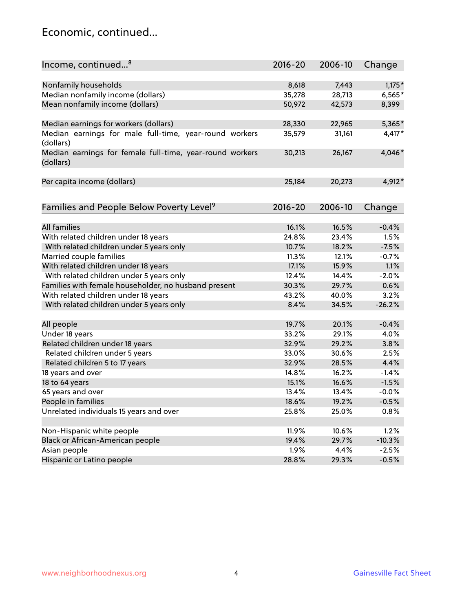### Economic, continued...

| Income, continued <sup>8</sup>                                        | $2016 - 20$ | 2006-10 | Change   |
|-----------------------------------------------------------------------|-------------|---------|----------|
|                                                                       |             |         |          |
| Nonfamily households                                                  | 8,618       | 7,443   | $1,175*$ |
| Median nonfamily income (dollars)                                     | 35,278      | 28,713  | $6,565*$ |
| Mean nonfamily income (dollars)                                       | 50,972      | 42,573  | 8,399    |
| Median earnings for workers (dollars)                                 | 28,330      | 22,965  | 5,365*   |
| Median earnings for male full-time, year-round workers                | 35,579      | 31,161  | $4,417*$ |
| (dollars)                                                             |             |         |          |
| Median earnings for female full-time, year-round workers<br>(dollars) | 30,213      | 26,167  | 4,046*   |
| Per capita income (dollars)                                           | 25,184      | 20,273  | 4,912*   |
|                                                                       |             |         |          |
| Families and People Below Poverty Level <sup>9</sup>                  | $2016 - 20$ | 2006-10 | Change   |
|                                                                       |             |         |          |
| <b>All families</b>                                                   | 16.1%       | 16.5%   | $-0.4%$  |
| With related children under 18 years                                  | 24.8%       | 23.4%   | 1.5%     |
| With related children under 5 years only                              | 10.7%       | 18.2%   | $-7.5%$  |
| Married couple families                                               | 11.3%       | 12.1%   | $-0.7%$  |
| With related children under 18 years                                  | 17.1%       | 15.9%   | 1.1%     |
| With related children under 5 years only                              | 12.4%       | 14.4%   | $-2.0%$  |
| Families with female householder, no husband present                  | 30.3%       | 29.7%   | 0.6%     |
| With related children under 18 years                                  | 43.2%       | 40.0%   | 3.2%     |
| With related children under 5 years only                              | 8.4%        | 34.5%   | $-26.2%$ |
| All people                                                            | 19.7%       | 20.1%   | $-0.4%$  |
| Under 18 years                                                        | 33.2%       | 29.1%   | 4.0%     |
| Related children under 18 years                                       | 32.9%       | 29.2%   | 3.8%     |
| Related children under 5 years                                        | 33.0%       | 30.6%   | 2.5%     |
| Related children 5 to 17 years                                        | 32.9%       | 28.5%   | 4.4%     |
| 18 years and over                                                     | 14.8%       | 16.2%   | $-1.4%$  |
| 18 to 64 years                                                        | 15.1%       | 16.6%   | $-1.5%$  |
| 65 years and over                                                     | 13.4%       | 13.4%   | $-0.0%$  |
| People in families                                                    | 18.6%       | 19.2%   | $-0.5%$  |
| Unrelated individuals 15 years and over                               | 25.8%       | 25.0%   | 0.8%     |
|                                                                       |             |         |          |
| Non-Hispanic white people                                             | 11.9%       | 10.6%   | 1.2%     |
| Black or African-American people                                      | 19.4%       | 29.7%   | $-10.3%$ |
| Asian people                                                          | 1.9%        | 4.4%    | $-2.5%$  |
| Hispanic or Latino people                                             | 28.8%       | 29.3%   | $-0.5%$  |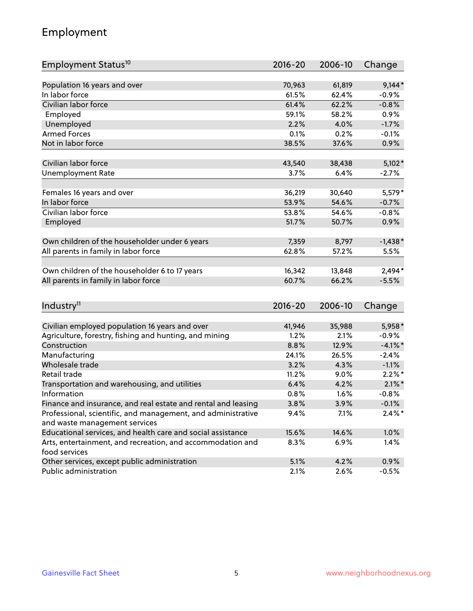# Employment

| Employment Status <sup>10</sup>                                                               | $2016 - 20$  | 2006-10      | Change                 |
|-----------------------------------------------------------------------------------------------|--------------|--------------|------------------------|
|                                                                                               |              |              |                        |
| Population 16 years and over                                                                  | 70,963       | 61,819       | $9,144*$               |
| In labor force                                                                                | 61.5%        | 62.4%        | $-0.9%$                |
| Civilian labor force                                                                          | 61.4%        | 62.2%        | $-0.8%$                |
| Employed                                                                                      | 59.1%        | 58.2%        | 0.9%                   |
| Unemployed                                                                                    | 2.2%         | 4.0%         | $-1.7%$                |
| <b>Armed Forces</b>                                                                           | 0.1%         | 0.2%         | $-0.1%$                |
| Not in labor force                                                                            | 38.5%        | 37.6%        | 0.9%                   |
|                                                                                               |              |              |                        |
| Civilian labor force                                                                          | 43,540       | 38,438       | $5,102*$               |
| <b>Unemployment Rate</b>                                                                      | 3.7%         | 6.4%         | $-2.7%$                |
| Females 16 years and over                                                                     | 36,219       | 30,640       | 5,579*                 |
| In labor force                                                                                | 53.9%        | 54.6%        | $-0.7%$                |
| Civilian labor force                                                                          | 53.8%        | 54.6%        | $-0.8%$                |
| Employed                                                                                      | 51.7%        | 50.7%        | 0.9%                   |
|                                                                                               |              |              |                        |
| Own children of the householder under 6 years                                                 | 7,359        | 8,797        | $-1,438*$              |
| All parents in family in labor force                                                          | 62.8%        | 57.2%        | 5.5%                   |
|                                                                                               |              |              |                        |
| Own children of the householder 6 to 17 years                                                 | 16,342       | 13,848       | 2,494*                 |
| All parents in family in labor force                                                          | 60.7%        | 66.2%        | $-5.5%$                |
|                                                                                               |              |              |                        |
| Industry <sup>11</sup>                                                                        | 2016-20      | 2006-10      | Change                 |
|                                                                                               |              |              |                        |
| Civilian employed population 16 years and over                                                | 41,946       | 35,988       | 5,958*                 |
| Agriculture, forestry, fishing and hunting, and mining                                        | 1.2%         | 2.1%         | $-0.9%$                |
| Construction                                                                                  | 8.8%         | 12.9%        | $-4.1%$ *              |
| Manufacturing<br>Wholesale trade                                                              | 24.1%        | 26.5%        | $-2.4%$                |
|                                                                                               | 3.2%         | 4.3%         | $-1.1%$                |
| Retail trade                                                                                  | 11.2%        | 9.0%         | $2.2\%$ *<br>$2.1\%$ * |
| Transportation and warehousing, and utilities<br>Information                                  | 6.4%<br>0.8% | 4.2%         | $-0.8%$                |
|                                                                                               |              | 1.6%<br>3.9% |                        |
| Finance and insurance, and real estate and rental and leasing                                 | 3.8%         |              | $-0.1%$<br>$2.4\%$ *   |
| Professional, scientific, and management, and administrative<br>and waste management services | 9.4%         | 7.1%         |                        |
| Educational services, and health care and social assistance                                   | 15.6%        | 14.6%        | 1.0%                   |
| Arts, entertainment, and recreation, and accommodation and                                    | 8.3%         | 6.9%         | 1.4%                   |
| food services                                                                                 |              |              |                        |
| Other services, except public administration                                                  | 5.1%         | 4.2%         | 0.9%                   |
| Public administration                                                                         | 2.1%         | 2.6%         | $-0.5%$                |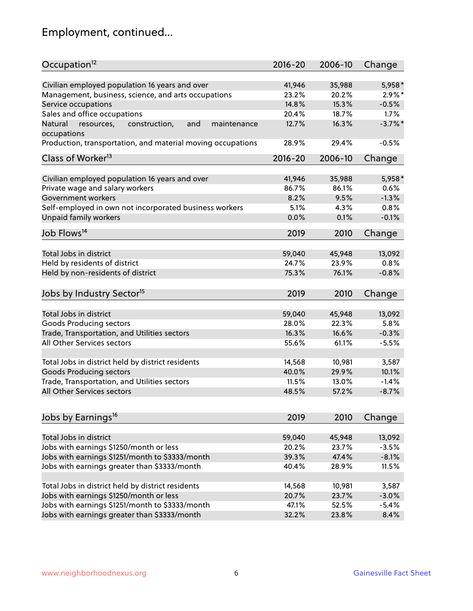# Employment, continued...

| Occupation <sup>12</sup>                                                    | $2016 - 20$     | 2006-10         | Change            |
|-----------------------------------------------------------------------------|-----------------|-----------------|-------------------|
| Civilian employed population 16 years and over                              | 41,946          | 35,988          | 5,958*            |
| Management, business, science, and arts occupations                         | 23.2%           | 20.2%           | $2.9\%$ *         |
| Service occupations                                                         | 14.8%           | 15.3%           | $-0.5%$           |
| Sales and office occupations                                                | 20.4%           | 18.7%           | 1.7%              |
|                                                                             |                 |                 | $-3.7%$           |
| Natural<br>and<br>maintenance<br>resources,<br>construction,<br>occupations | 12.7%           | 16.3%           |                   |
| Production, transportation, and material moving occupations                 | 28.9%           | 29.4%           | $-0.5%$           |
| Class of Worker <sup>13</sup>                                               | $2016 - 20$     | 2006-10         | Change            |
| Civilian employed population 16 years and over                              | 41,946          | 35,988          | 5,958*            |
| Private wage and salary workers                                             | 86.7%           | 86.1%           | 0.6%              |
| Government workers                                                          | 8.2%            | 9.5%            | $-1.3%$           |
|                                                                             |                 |                 |                   |
| Self-employed in own not incorporated business workers                      | 5.1%            | 4.3%            | 0.8%              |
| Unpaid family workers                                                       | 0.0%            | 0.1%            | $-0.1%$           |
| Job Flows <sup>14</sup>                                                     | 2019            | 2010            | Change            |
|                                                                             |                 |                 |                   |
| Total Jobs in district                                                      | 59,040          | 45,948          | 13,092            |
| Held by residents of district                                               | 24.7%           | 23.9%           | 0.8%              |
| Held by non-residents of district                                           | 75.3%           | 76.1%           | $-0.8%$           |
| Jobs by Industry Sector <sup>15</sup>                                       | 2019            | 2010            | Change            |
|                                                                             |                 |                 |                   |
| Total Jobs in district                                                      | 59,040          | 45,948          | 13,092            |
| Goods Producing sectors                                                     | 28.0%           | 22.3%           | 5.8%              |
| Trade, Transportation, and Utilities sectors                                | 16.3%           | 16.6%           | $-0.3%$           |
| All Other Services sectors                                                  | 55.6%           | 61.1%           | $-5.5%$           |
| Total Jobs in district held by district residents                           | 14,568          | 10,981          | 3,587             |
| <b>Goods Producing sectors</b>                                              | 40.0%           | 29.9%           | 10.1%             |
| Trade, Transportation, and Utilities sectors                                | 11.5%           | 13.0%           | $-1.4%$           |
| All Other Services sectors                                                  | 48.5%           | 57.2%           | $-8.7%$           |
|                                                                             |                 |                 |                   |
| Jobs by Earnings <sup>16</sup>                                              | 2019            | 2010            | Change            |
|                                                                             |                 |                 |                   |
| Total Jobs in district                                                      | 59,040<br>20.2% | 45,948<br>23.7% | 13,092<br>$-3.5%$ |
| Jobs with earnings \$1250/month or less                                     |                 |                 |                   |
| Jobs with earnings \$1251/month to \$3333/month                             | 39.3%           | 47.4%           | $-8.1%$           |
| Jobs with earnings greater than \$3333/month                                | 40.4%           | 28.9%           | 11.5%             |
| Total Jobs in district held by district residents                           | 14,568          | 10,981          | 3,587             |
| Jobs with earnings \$1250/month or less                                     | 20.7%           | 23.7%           | $-3.0%$           |
| Jobs with earnings \$1251/month to \$3333/month                             | 47.1%           | 52.5%           | $-5.4%$           |
| Jobs with earnings greater than \$3333/month                                | 32.2%           | 23.8%           | 8.4%              |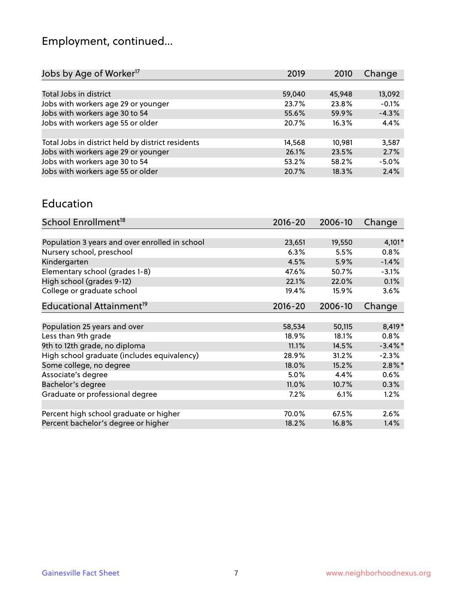# Employment, continued...

| 2019   | 2010   | Change  |
|--------|--------|---------|
|        |        |         |
| 59,040 | 45,948 | 13,092  |
| 23.7%  | 23.8%  | $-0.1%$ |
| 55.6%  | 59.9%  | $-4.3%$ |
| 20.7%  | 16.3%  | 4.4%    |
|        |        |         |
| 14,568 | 10.981 | 3,587   |
| 26.1%  | 23.5%  | 2.7%    |
| 53.2%  | 58.2%  | $-5.0%$ |
| 20.7%  | 18.3%  | 2.4%    |
|        |        |         |

#### Education

| School Enrollment <sup>18</sup>                | $2016 - 20$ | 2006-10 | Change     |
|------------------------------------------------|-------------|---------|------------|
|                                                |             |         |            |
| Population 3 years and over enrolled in school | 23,651      | 19,550  | $4,101*$   |
| Nursery school, preschool                      | 6.3%        | 5.5%    | 0.8%       |
| Kindergarten                                   | 4.5%        | 5.9%    | $-1.4%$    |
| Elementary school (grades 1-8)                 | 47.6%       | 50.7%   | $-3.1%$    |
| High school (grades 9-12)                      | 22.1%       | 22.0%   | 0.1%       |
| College or graduate school                     | 19.4%       | 15.9%   | 3.6%       |
| Educational Attainment <sup>19</sup>           | $2016 - 20$ | 2006-10 | Change     |
|                                                |             |         |            |
| Population 25 years and over                   | 58,534      | 50,115  | 8,419*     |
| Less than 9th grade                            | 18.9%       | 18.1%   | 0.8%       |
| 9th to 12th grade, no diploma                  | 11.1%       | 14.5%   | $-3.4\%$ * |
| High school graduate (includes equivalency)    | 28.9%       | 31.2%   | $-2.3%$    |
| Some college, no degree                        | 18.0%       | 15.2%   | $2.8\%$ *  |
| Associate's degree                             | 5.0%        | 4.4%    | $0.6\%$    |
| Bachelor's degree                              | 11.0%       | 10.7%   | $0.3\%$    |
| Graduate or professional degree                | 7.2%        | 6.1%    | 1.2%       |
|                                                |             |         |            |
| Percent high school graduate or higher         | 70.0%       | 67.5%   | 2.6%       |
| Percent bachelor's degree or higher            | 18.2%       | 16.8%   | 1.4%       |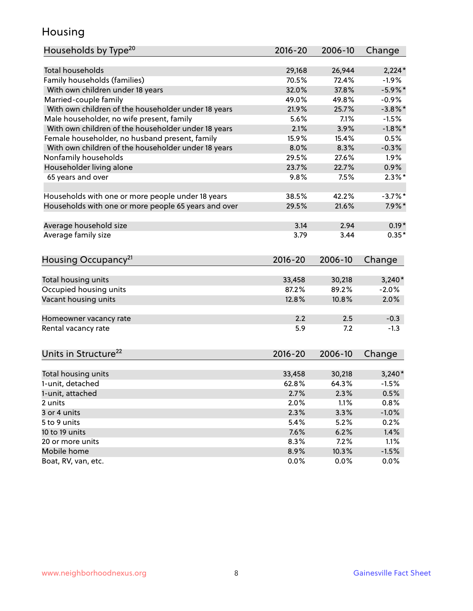### Housing

| Households by Type <sup>20</sup>                     | 2016-20         | 2006-10         | Change              |
|------------------------------------------------------|-----------------|-----------------|---------------------|
|                                                      |                 |                 |                     |
| <b>Total households</b>                              | 29,168          | 26,944          | $2,224*$            |
| Family households (families)                         | 70.5%           | 72.4%           | $-1.9%$             |
| With own children under 18 years                     | 32.0%           | 37.8%           | $-5.9\%$ *          |
| Married-couple family                                | 49.0%           | 49.8%           | $-0.9%$             |
| With own children of the householder under 18 years  | 21.9%           | 25.7%           | $-3.8\%$ *          |
| Male householder, no wife present, family            | 5.6%            | 7.1%            | $-1.5%$             |
| With own children of the householder under 18 years  | 2.1%            | 3.9%            | $-1.8\%$ *          |
| Female householder, no husband present, family       | 15.9%           | 15.4%           | 0.5%                |
| With own children of the householder under 18 years  | 8.0%            | 8.3%            | $-0.3%$             |
| Nonfamily households                                 | 29.5%           | 27.6%           | $1.9\%$             |
| Householder living alone                             | 23.7%           | 22.7%           | 0.9%                |
| 65 years and over                                    | 9.8%            | 7.5%            | $2.3\%$ *           |
|                                                      |                 |                 |                     |
| Households with one or more people under 18 years    | 38.5%           | 42.2%           | $-3.7%$ *           |
| Households with one or more people 65 years and over | 29.5%           | 21.6%           | $7.9\%$ *           |
| Average household size                               | 3.14            | 2.94            | $0.19*$             |
| Average family size                                  | 3.79            | 3.44            | $0.35*$             |
|                                                      |                 |                 |                     |
| Housing Occupancy <sup>21</sup>                      | $2016 - 20$     | 2006-10         | Change              |
| Total housing units                                  | 33,458          | 30,218          | $3,240*$            |
| Occupied housing units                               | 87.2%           | 89.2%           | $-2.0%$             |
| Vacant housing units                                 | 12.8%           | 10.8%           | 2.0%                |
|                                                      |                 |                 |                     |
| Homeowner vacancy rate                               | 2.2             | 2.5             | $-0.3$              |
| Rental vacancy rate                                  | 5.9             | 7.2             | $-1.3$              |
|                                                      |                 |                 |                     |
| Units in Structure <sup>22</sup>                     | $2016 - 20$     | 2006-10         | Change              |
|                                                      |                 |                 |                     |
| Total housing units<br>1-unit, detached              | 33,458<br>62.8% | 30,218<br>64.3% | $3,240*$<br>$-1.5%$ |
|                                                      |                 |                 |                     |
| 1-unit, attached                                     | 2.7%            | 2.3%            | 0.5%                |
| 2 units                                              | 2.0%            | 1.1%            | 0.8%                |
| 3 or 4 units                                         | 2.3%            | 3.3%            | $-1.0%$             |
| 5 to 9 units                                         | 5.4%            | 5.2%            | 0.2%                |
| 10 to 19 units                                       | 7.6%            | 6.2%            | 1.4%                |
| 20 or more units                                     | 8.3%            | 7.2%            | 1.1%                |
| Mobile home                                          | 8.9%            | 10.3%           | $-1.5%$             |
| Boat, RV, van, etc.                                  | 0.0%            | 0.0%            | 0.0%                |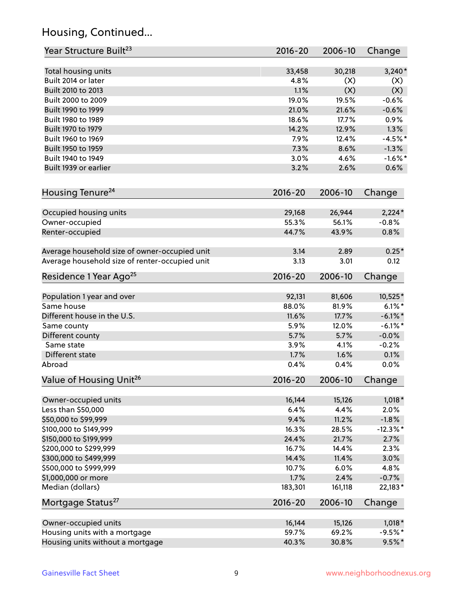# Housing, Continued...

| Year Structure Built <sup>23</sup>             | 2016-20     | 2006-10 | Change      |
|------------------------------------------------|-------------|---------|-------------|
| Total housing units                            | 33,458      | 30,218  | $3,240*$    |
| Built 2014 or later                            | 4.8%        | (X)     | (X)         |
| Built 2010 to 2013                             | 1.1%        | (X)     | (X)         |
| Built 2000 to 2009                             | 19.0%       | 19.5%   | $-0.6%$     |
| Built 1990 to 1999                             | 21.0%       | 21.6%   | $-0.6%$     |
| Built 1980 to 1989                             | 18.6%       | 17.7%   | 0.9%        |
| Built 1970 to 1979                             | 14.2%       | 12.9%   | 1.3%        |
| Built 1960 to 1969                             | 7.9%        | 12.4%   | $-4.5%$ *   |
| Built 1950 to 1959                             | 7.3%        | 8.6%    | $-1.3%$     |
| Built 1940 to 1949                             | 3.0%        | 4.6%    | $-1.6\%$ *  |
| Built 1939 or earlier                          | 3.2%        | 2.6%    | 0.6%        |
|                                                |             |         |             |
| Housing Tenure <sup>24</sup>                   | $2016 - 20$ | 2006-10 | Change      |
| Occupied housing units                         | 29,168      | 26,944  | $2,224*$    |
| Owner-occupied                                 | 55.3%       | 56.1%   | $-0.8%$     |
| Renter-occupied                                | 44.7%       | 43.9%   | 0.8%        |
| Average household size of owner-occupied unit  | 3.14        | 2.89    | $0.25*$     |
| Average household size of renter-occupied unit | 3.13        | 3.01    | 0.12        |
| Residence 1 Year Ago <sup>25</sup>             | $2016 - 20$ | 2006-10 | Change      |
|                                                |             |         |             |
| Population 1 year and over                     | 92,131      | 81,606  | 10,525*     |
| Same house                                     | 88.0%       | 81.9%   | $6.1\%$ *   |
| Different house in the U.S.                    | 11.6%       | 17.7%   | $-6.1\%$ *  |
| Same county                                    | 5.9%        | 12.0%   | $-6.1\%$ *  |
| Different county                               | 5.7%        | 5.7%    | $-0.0%$     |
| Same state                                     | 3.9%        | 4.1%    | $-0.2%$     |
| Different state                                | 1.7%        | 1.6%    | 0.1%        |
| Abroad                                         | 0.4%        | 0.4%    | 0.0%        |
| Value of Housing Unit <sup>26</sup>            | $2016 - 20$ | 2006-10 | Change      |
| Owner-occupied units                           | 16,144      | 15,126  | $1,018*$    |
| Less than \$50,000                             | 6.4%        | 4.4%    | 2.0%        |
| \$50,000 to \$99,999                           | 9.4%        | 11.2%   | $-1.8%$     |
| \$100,000 to \$149,999                         | 16.3%       | 28.5%   | $-12.3\%$ * |
| \$150,000 to \$199,999                         | 24.4%       | 21.7%   | 2.7%        |
| \$200,000 to \$299,999                         | 16.7%       | 14.4%   | 2.3%        |
| \$300,000 to \$499,999                         | 14.4%       | 11.4%   | 3.0%        |
| \$500,000 to \$999,999                         | 10.7%       | 6.0%    | 4.8%        |
| \$1,000,000 or more                            | 1.7%        | 2.4%    | $-0.7%$     |
| Median (dollars)                               | 183,301     | 161,118 | 22,183*     |
| Mortgage Status <sup>27</sup>                  | $2016 - 20$ | 2006-10 | Change      |
| Owner-occupied units                           | 16,144      | 15,126  | $1,018*$    |
| Housing units with a mortgage                  | 59.7%       | 69.2%   | $-9.5%$ *   |
| Housing units without a mortgage               | 40.3%       | 30.8%   | $9.5%$ *    |
|                                                |             |         |             |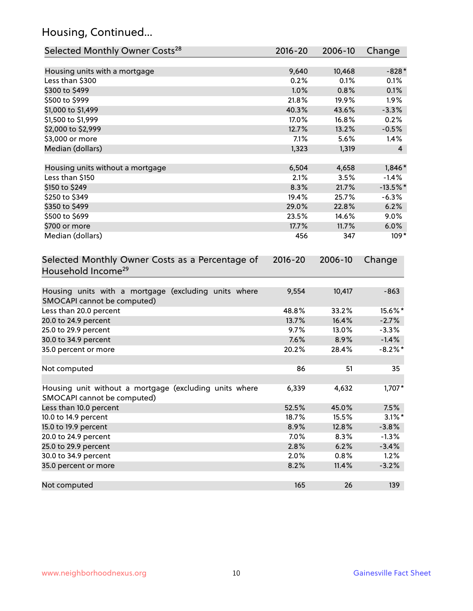# Housing, Continued...

| Selected Monthly Owner Costs <sup>28</sup>                                            | 2016-20     | 2006-10 | Change         |
|---------------------------------------------------------------------------------------|-------------|---------|----------------|
| Housing units with a mortgage                                                         | 9,640       | 10,468  | $-828*$        |
| Less than \$300                                                                       | 0.2%        | 0.1%    | 0.1%           |
| \$300 to \$499                                                                        | 1.0%        | 0.8%    | 0.1%           |
| \$500 to \$999                                                                        | 21.8%       | 19.9%   | 1.9%           |
| \$1,000 to \$1,499                                                                    | 40.3%       | 43.6%   | $-3.3%$        |
| \$1,500 to \$1,999                                                                    | 17.0%       | 16.8%   | 0.2%           |
| \$2,000 to \$2,999                                                                    | 12.7%       | 13.2%   | $-0.5%$        |
| \$3,000 or more                                                                       | 7.1%        | 5.6%    | $1.4\%$        |
| Median (dollars)                                                                      | 1,323       | 1,319   | $\overline{4}$ |
| Housing units without a mortgage                                                      | 6,504       | 4,658   | $1,846*$       |
| Less than \$150                                                                       | 2.1%        | 3.5%    | $-1.4%$        |
| \$150 to \$249                                                                        | 8.3%        | 21.7%   | $-13.5\%$ *    |
| \$250 to \$349                                                                        | 19.4%       | 25.7%   | $-6.3%$        |
| \$350 to \$499                                                                        | 29.0%       | 22.8%   | 6.2%           |
| \$500 to \$699                                                                        | 23.5%       | 14.6%   | 9.0%           |
| \$700 or more                                                                         | 17.7%       | 11.7%   | 6.0%           |
| Median (dollars)                                                                      | 456         | 347     | $109*$         |
| Selected Monthly Owner Costs as a Percentage of<br>Household Income <sup>29</sup>     | $2016 - 20$ | 2006-10 | Change         |
| Housing units with a mortgage (excluding units where<br>SMOCAPI cannot be computed)   | 9,554       | 10,417  | $-863$         |
| Less than 20.0 percent                                                                | 48.8%       | 33.2%   | 15.6%*         |
| 20.0 to 24.9 percent                                                                  | 13.7%       | 16.4%   | $-2.7%$        |
| 25.0 to 29.9 percent                                                                  | 9.7%        | 13.0%   | $-3.3%$        |
| 30.0 to 34.9 percent                                                                  | 7.6%        | 8.9%    | $-1.4%$        |
| 35.0 percent or more                                                                  | 20.2%       | 28.4%   | $-8.2\%$ *     |
| Not computed                                                                          | 86          | 51      | 35             |
| Housing unit without a mortgage (excluding units where<br>SMOCAPI cannot be computed) | 6,339       | 4,632   | 1,707*         |
| Less than 10.0 percent                                                                | 52.5%       | 45.0%   | 7.5%           |
| 10.0 to 14.9 percent                                                                  | 18.7%       | 15.5%   | $3.1\%$ *      |
| 15.0 to 19.9 percent                                                                  | 8.9%        | 12.8%   | $-3.8%$        |
| 20.0 to 24.9 percent                                                                  | 7.0%        | 8.3%    | $-1.3%$        |
| 25.0 to 29.9 percent                                                                  | 2.8%        | 6.2%    | $-3.4%$        |
| 30.0 to 34.9 percent                                                                  | 2.0%        | 0.8%    | 1.2%           |
| 35.0 percent or more                                                                  | 8.2%        | 11.4%   | $-3.2%$        |
| Not computed                                                                          | 165         | 26      | 139            |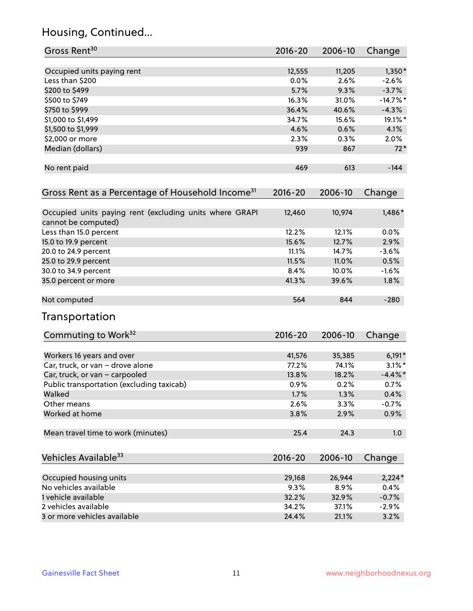# Housing, Continued...

| Gross Rent <sup>30</sup>                                                       | 2016-20     | 2006-10 | Change     |
|--------------------------------------------------------------------------------|-------------|---------|------------|
| Occupied units paying rent                                                     | 12,555      | 11,205  | $1,350*$   |
| Less than \$200                                                                | 0.0%        | 2.6%    | $-2.6\%$   |
| \$200 to \$499                                                                 | 5.7%        | 9.3%    | $-3.7%$    |
| \$500 to \$749                                                                 | 16.3%       | 31.0%   | $-14.7%$   |
| \$750 to \$999                                                                 | 36.4%       | 40.6%   | $-4.3%$    |
| \$1,000 to \$1,499                                                             | 34.7%       | 15.6%   | 19.1%*     |
| \$1,500 to \$1,999                                                             | 4.6%        | 0.6%    | 4.1%       |
| \$2,000 or more                                                                | 2.3%        | 0.3%    | $2.0\%$    |
| Median (dollars)                                                               | 939         | 867     | $72*$      |
| No rent paid                                                                   | 469         | 613     | $-144$     |
| Gross Rent as a Percentage of Household Income <sup>31</sup>                   | $2016 - 20$ | 2006-10 | Change     |
| Occupied units paying rent (excluding units where GRAPI<br>cannot be computed) | 12,460      | 10,974  | 1,486*     |
| Less than 15.0 percent                                                         | 12.2%       | 12.1%   | 0.0%       |
| 15.0 to 19.9 percent                                                           | 15.6%       | 12.7%   | 2.9%       |
| 20.0 to 24.9 percent                                                           | 11.1%       | 14.7%   | $-3.6%$    |
| 25.0 to 29.9 percent                                                           | 11.5%       | 11.0%   | 0.5%       |
| 30.0 to 34.9 percent                                                           | 8.4%        | 10.0%   | $-1.6%$    |
| 35.0 percent or more                                                           | 41.3%       | 39.6%   | 1.8%       |
| Not computed                                                                   | 564         | 844     | $-280$     |
| Transportation                                                                 |             |         |            |
| Commuting to Work <sup>32</sup>                                                | 2016-20     | 2006-10 | Change     |
| Workers 16 years and over                                                      | 41,576      | 35,385  | $6,191*$   |
| Car, truck, or van - drove alone                                               | 77.2%       | 74.1%   | $3.1\%$ *  |
| Car, truck, or van - carpooled                                                 | 13.8%       | 18.2%   | $-4.4\%$ * |
| Public transportation (excluding taxicab)                                      | 0.9%        | 0.2%    | 0.7%       |
| Walked                                                                         | 1.7%        | 1.3%    | 0.4%       |
| Other means                                                                    | 2.6%        | 3.3%    | $-0.7%$    |
| Worked at home                                                                 | 3.8%        | 2.9%    | 0.9%       |
| Mean travel time to work (minutes)                                             | 25.4        | 24.3    | 1.0        |
| Vehicles Available <sup>33</sup>                                               | $2016 - 20$ | 2006-10 | Change     |
| Occupied housing units                                                         | 29,168      | 26,944  | $2,224*$   |
| No vehicles available                                                          | 9.3%        | 8.9%    | 0.4%       |
| 1 vehicle available                                                            | 32.2%       | 32.9%   | $-0.7%$    |
| 2 vehicles available                                                           | 34.2%       | 37.1%   | $-2.9%$    |
| 3 or more vehicles available                                                   | 24.4%       | 21.1%   | 3.2%       |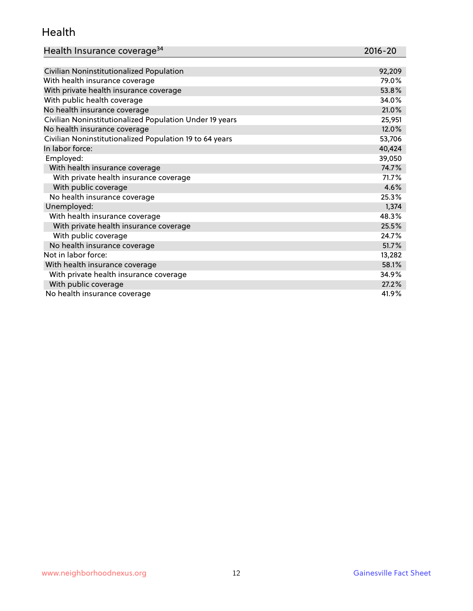#### Health

| Health Insurance coverage <sup>34</sup> | 2016-20 |
|-----------------------------------------|---------|
|-----------------------------------------|---------|

| Civilian Noninstitutionalized Population                | 92,209 |
|---------------------------------------------------------|--------|
| With health insurance coverage                          | 79.0%  |
| With private health insurance coverage                  | 53.8%  |
| With public health coverage                             | 34.0%  |
| No health insurance coverage                            | 21.0%  |
| Civilian Noninstitutionalized Population Under 19 years | 25,951 |
| No health insurance coverage                            | 12.0%  |
| Civilian Noninstitutionalized Population 19 to 64 years | 53,706 |
| In labor force:                                         | 40,424 |
| Employed:                                               | 39,050 |
| With health insurance coverage                          | 74.7%  |
| With private health insurance coverage                  | 71.7%  |
| With public coverage                                    | 4.6%   |
| No health insurance coverage                            | 25.3%  |
| Unemployed:                                             | 1,374  |
| With health insurance coverage                          | 48.3%  |
| With private health insurance coverage                  | 25.5%  |
| With public coverage                                    | 24.7%  |
| No health insurance coverage                            | 51.7%  |
| Not in labor force:                                     | 13,282 |
| With health insurance coverage                          | 58.1%  |
| With private health insurance coverage                  | 34.9%  |
| With public coverage                                    | 27.2%  |
| No health insurance coverage                            | 41.9%  |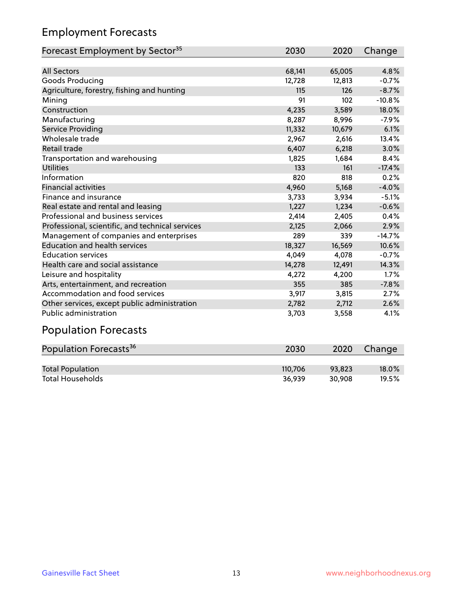# Employment Forecasts

| Forecast Employment by Sector <sup>35</sup>      | 2030   | 2020   | Change   |
|--------------------------------------------------|--------|--------|----------|
|                                                  |        |        |          |
| <b>All Sectors</b>                               | 68,141 | 65,005 | 4.8%     |
| Goods Producing                                  | 12,728 | 12,813 | $-0.7%$  |
| Agriculture, forestry, fishing and hunting       | 115    | 126    | $-8.7%$  |
| Mining                                           | 91     | 102    | $-10.8%$ |
| Construction                                     | 4,235  | 3,589  | 18.0%    |
| Manufacturing                                    | 8,287  | 8,996  | $-7.9%$  |
| Service Providing                                | 11,332 | 10,679 | 6.1%     |
| Wholesale trade                                  | 2,967  | 2,616  | 13.4%    |
| Retail trade                                     | 6,407  | 6,218  | 3.0%     |
| Transportation and warehousing                   | 1,825  | 1,684  | 8.4%     |
| <b>Utilities</b>                                 | 133    | 161    | $-17.4%$ |
| Information                                      | 820    | 818    | 0.2%     |
| <b>Financial activities</b>                      | 4,960  | 5,168  | $-4.0%$  |
| Finance and insurance                            | 3,733  | 3,934  | $-5.1%$  |
| Real estate and rental and leasing               | 1,227  | 1,234  | $-0.6%$  |
| Professional and business services               | 2,414  | 2,405  | 0.4%     |
| Professional, scientific, and technical services | 2,125  | 2,066  | 2.9%     |
| Management of companies and enterprises          | 289    | 339    | $-14.7%$ |
| <b>Education and health services</b>             | 18,327 | 16,569 | 10.6%    |
| <b>Education services</b>                        | 4,049  | 4,078  | $-0.7%$  |
| Health care and social assistance                | 14,278 | 12,491 | 14.3%    |
| Leisure and hospitality                          | 4,272  | 4,200  | 1.7%     |
| Arts, entertainment, and recreation              | 355    | 385    | $-7.8%$  |
| Accommodation and food services                  | 3,917  | 3,815  | 2.7%     |
| Other services, except public administration     | 2,782  | 2,712  | 2.6%     |
| <b>Public administration</b>                     | 3,703  | 3,558  | 4.1%     |
|                                                  |        |        |          |

#### Population Forecasts

| Population Forecasts <sup>36</sup> | 2030    | 2020   | Change   |
|------------------------------------|---------|--------|----------|
|                                    |         |        |          |
| <b>Total Population</b>            | 110.706 | 93.823 | $18.0\%$ |
| <b>Total Households</b>            | 36.939  | 30.908 | 19.5%    |